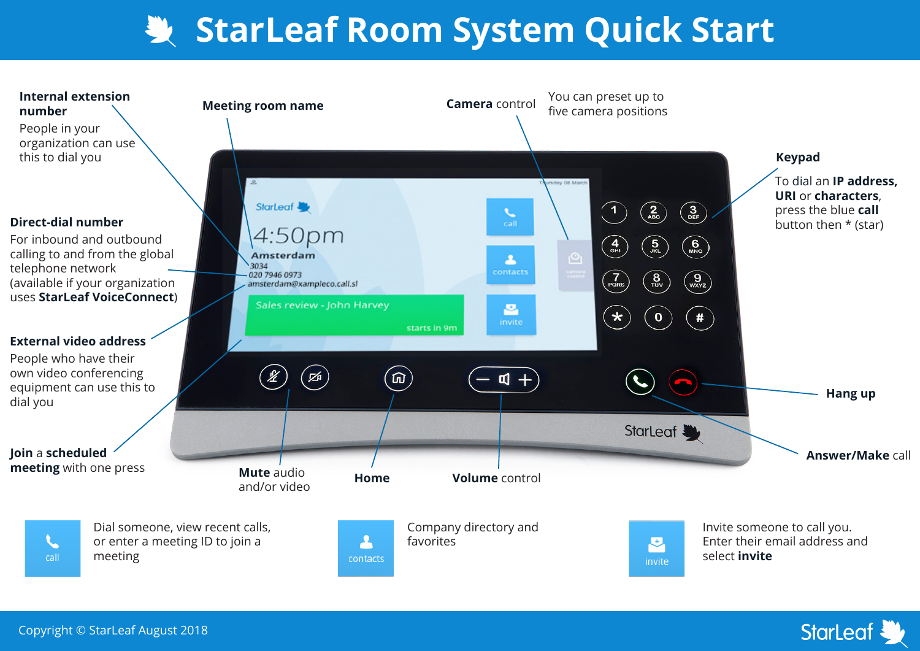## **StarLeaf Room System Quick Start**